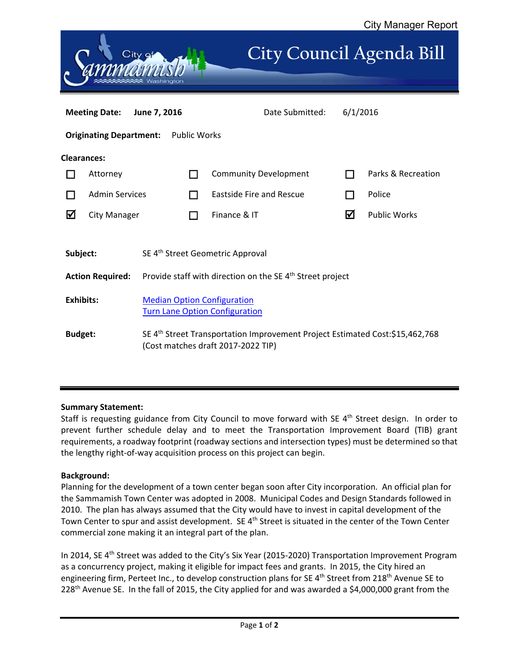

## **Summary Statement:**

Staff is requesting guidance from City Council to move forward with SE 4<sup>th</sup> Street design. In order to prevent further schedule delay and to meet the Transportation Improvement Board (TIB) grant requirements, a roadway footprint (roadway sections and intersection types) must be determined so that the lengthy right‐of‐way acquisition process on this project can begin.

## **Background:**

Planning for the development of a town center began soon after City incorporation. An official plan for the Sammamish Town Center was adopted in 2008. Municipal Codes and Design Standards followed in 2010. The plan has always assumed that the City would have to invest in capital development of the Town Center to spur and assist development. SE 4<sup>th</sup> Street is situated in the center of the Town Center commercial zone making it an integral part of the plan.

In 2014, SE 4<sup>th</sup> Street was added to the City's Six Year (2015-2020) Transportation Improvement Program as a concurrency project, making it eligible for impact fees and grants. In 2015, the City hired an engineering firm, Perteet Inc., to develop construction plans for SE  $4<sup>th</sup>$  Street from 218<sup>th</sup> Avenue SE to 228th Avenue SE. In the fall of 2015, the City applied for and was awarded a \$4,000,000 grant from the